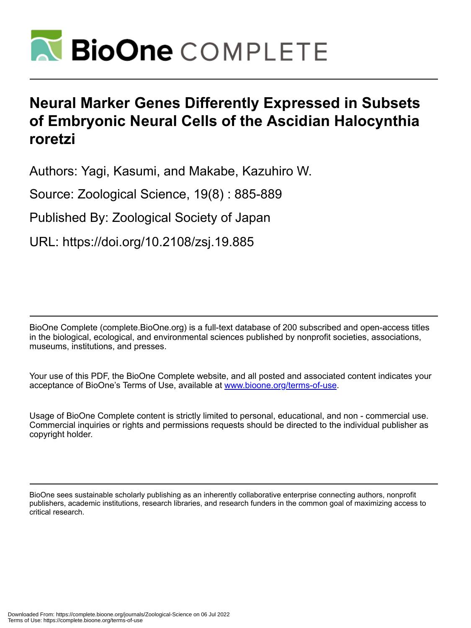

# **Neural Marker Genes Differently Expressed in Subsets of Embryonic Neural Cells of the Ascidian Halocynthia roretzi**

Authors: Yagi, Kasumi, and Makabe, Kazuhiro W.

Source: Zoological Science, 19(8) : 885-889

Published By: Zoological Society of Japan

URL: https://doi.org/10.2108/zsj.19.885

BioOne Complete (complete.BioOne.org) is a full-text database of 200 subscribed and open-access titles in the biological, ecological, and environmental sciences published by nonprofit societies, associations, museums, institutions, and presses.

Your use of this PDF, the BioOne Complete website, and all posted and associated content indicates your acceptance of BioOne's Terms of Use, available at www.bioone.org/terms-of-use.

Usage of BioOne Complete content is strictly limited to personal, educational, and non - commercial use. Commercial inquiries or rights and permissions requests should be directed to the individual publisher as copyright holder.

BioOne sees sustainable scholarly publishing as an inherently collaborative enterprise connecting authors, nonprofit publishers, academic institutions, research libraries, and research funders in the common goal of maximizing access to critical research.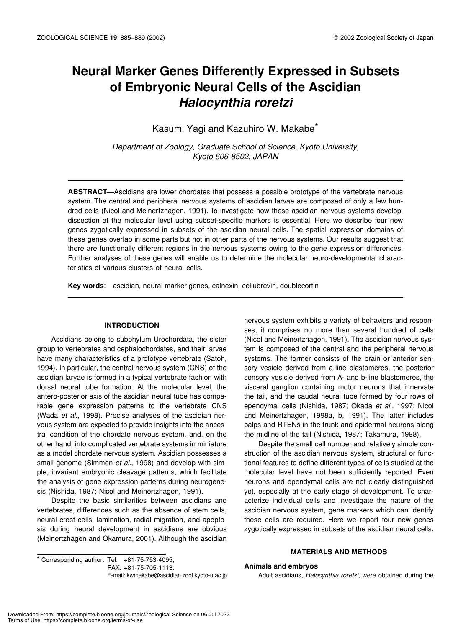# **Neural Marker Genes Differently Expressed in Subsets of Embryonic Neural Cells of the Ascidian** *Halocynthia roretzi*

Kasumi Yagi and Kazuhiro W. Makabe\*

*Department of Zoology, Graduate School of Science, Kyoto University, Kyoto 606-8502, JAPAN*

**ABSTRACT**—Ascidians are lower chordates that possess a possible prototype of the vertebrate nervous system. The central and peripheral nervous systems of ascidian larvae are composed of only a few hundred cells (Nicol and Meinertzhagen, 1991). To investigate how these ascidian nervous systems develop, dissection at the molecular level using subset-specific markers is essential. Here we describe four new genes zygotically expressed in subsets of the ascidian neural cells. The spatial expression domains of these genes overlap in some parts but not in other parts of the nervous systems. Our results suggest that there are functionally different regions in the nervous systems owing to the gene expression differences. Further analyses of these genes will enable us to determine the molecular neuro-developmental characteristics of various clusters of neural cells.

**Key words**: ascidian, neural marker genes, calnexin, cellubrevin, doublecortin

# **INTRODUCTION**

Ascidians belong to subphylum Urochordata, the sister group to vertebrates and cephalochordates, and their larvae have many characteristics of a prototype vertebrate (Satoh, 1994). In particular, the central nervous system (CNS) of the ascidian larvae is formed in a typical vertebrate fashion with dorsal neural tube formation. At the molecular level, the antero-posterior axis of the ascidian neural tube has comparable gene expression patterns to the vertebrate CNS (Wada *et al*., 1998). Precise analyses of the ascidian nervous system are expected to provide insights into the ancestral condition of the chordate nervous system, and, on the other hand, into complicated vertebrate systems in miniature as a model chordate nervous system. Ascidian possesses a small genome (Simmen *et al.*, 1998) and develop with simple, invariant embryonic cleavage patterns, which facilitate the analysis of gene expression patterns during neurogenesis (Nishida, 1987; Nicol and Meinertzhagen, 1991).

Despite the basic similarities between ascidians and vertebrates, differences such as the absence of stem cells, neural crest cells, lamination, radial migration, and apoptosis during neural development in ascidians are obvious (Meinertzhagen and Okamura, 2001). Although the ascidian

nervous system exhibits a variety of behaviors and responses, it comprises no more than several hundred of cells (Nicol and Meinertzhagen, 1991). The ascidian nervous system is composed of the central and the peripheral nervous systems. The former consists of the brain or anterior sensory vesicle derived from a-line blastomeres, the posterior sensory vesicle derived from A- and b-line blastomeres, the visceral ganglion containing motor neurons that innervate the tail, and the caudal neural tube formed by four rows of ependymal cells (Nishida, 1987; Okada *et al.*, 1997; Nicol and Meinertzhagen, 1998a, b, 1991). The latter includes palps and RTENs in the trunk and epidermal neurons along the midline of the tail (Nishida, 1987; Takamura, 1998).

Despite the small cell number and relatively simple construction of the ascidian nervous system, structural or functional features to define different types of cells studied at the molecular level have not been sufficiently reported. Even neurons and ependymal cells are not clearly distinguished yet, especially at the early stage of development. To characterize individual cells and investigate the nature of the ascidian nervous system, gene markers which can identify these cells are required. Here we report four new genes zygotically expressed in subsets of the ascidian neural cells.

 $*$  Corresponding author: Tel.  $+81-75-753-4095$ ; FAX. +81-75-705-1113. E-mail: kwmakabe@ascidian.zool.kyoto-u.ac.jp

# **MATERIALS AND METHODS**

## **Animals and embryos**

Adult ascidians, *Halocynthia roretzi*, were obtained during the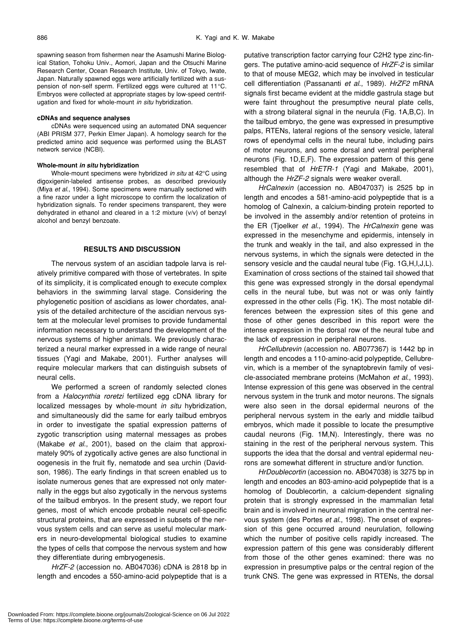spawning season from fishermen near the Asamushi Marine Biological Station, Tohoku Univ., Aomori, Japan and the Otsuchi Marine Research Center, Ocean Research Institute, Univ. of Tokyo, Iwate, Japan. Naturally spawned eggs were artificially fertilized with a suspension of non-self sperm. Fertilized eggs were cultured at 11°C. Embryos were collected at appropriate stages by low-speed centrifugation and fixed for whole-mount *in situ* hybridization.

#### **cDNAs and sequence analyses**

cDNAs were sequenced using an automated DNA sequencer (ABI PRISM 377, Perkin Elmer Japan). A homology search for the predicted amino acid sequence was performed using the BLAST network service (NCBI).

#### **Whole-mount** *in situ* **hybridization**

Whole-mount specimens were hybridized *in situ* at 42°C using digoxigenin-labeled antisense probes, as described previously (Miya *et al*., 1994). Some specimens were manually sectioned with a fine razor under a light microscope to confirm the localization of hybridization signals. To render specimens transparent, they were dehydrated in ethanol and cleared in a 1:2 mixture (v/v) of benzyl alcohol and benzyl benzoate.

# **RESULTS AND DISCUSSION**

The nervous system of an ascidian tadpole larva is relatively primitive compared with those of vertebrates. In spite of its simplicity, it is complicated enough to execute complex behaviors in the swimming larval stage. Considering the phylogenetic position of ascidians as lower chordates, analysis of the detailed architecture of the ascidian nervous system at the molecular level promises to provide fundamental information necessary to understand the development of the nervous systems of higher animals. We previously characterized a neural marker expressed in a wide range of neural tissues (Yagi and Makabe, 2001). Further analyses will require molecular markers that can distinguish subsets of neural cells.

We performed a screen of randomly selected clones from a *Halocynthia roretzi* fertilized egg cDNA library for localized messages by whole-mount *in situ* hybridization, and simultaneously did the same for early tailbud embryos in order to investigate the spatial expression patterns of zygotic transcription using maternal messages as probes (Makabe *et al*., 2001), based on the claim that approximately 90% of zygotically active genes are also functional in oogenesis in the fruit fly, nematode and sea urchin (Davidson, 1986). The early findings in that screen enabled us to isolate numerous genes that are expressed not only maternally in the eggs but also zygotically in the nervous systems of the tailbud embryos. In the present study, we report four genes, most of which encode probable neural cell-specific structural proteins, that are expressed in subsets of the nervous system cells and can serve as useful molecular markers in neuro-developmental biological studies to examine the types of cells that compose the nervous system and how they differentiate during embryogenesis.

*HrZF-2* (accession no. AB047036) cDNA is 2818 bp in length and encodes a 550-amino-acid polypeptide that is a putative transcription factor carrying four C2H2 type zinc-fingers. The putative amino-acid sequence of *HrZF-2* is similar to that of mouse MEG2, which may be involved in testicular cell differentiation (Passananti *et al*., 1989). *HrZF2* mRNA signals first became evident at the middle gastrula stage but were faint throughout the presumptive neural plate cells, with a strong bilateral signal in the neurula (Fig. 1A,B,C). In the tailbud embryo, the gene was expressed in presumptive palps, RTENs, lateral regions of the sensory vesicle, lateral rows of ependymal cells in the neural tube, including pairs of motor neurons, and some dorsal and ventral peripheral neurons (Fig. 1D,E,F). The expression pattern of this gene resembled that of *HrETR-1* (Yagi and Makabe, 2001), although the *HrZF-2* signals were weaker overall.

*HrCalnexin* (accession no. AB047037) is 2525 bp in length and encodes a 581-amino-acid polypeptide that is a homolog of Calnexin, a calcium-binding protein reported to be involved in the assembly and/or retention of proteins in the ER (Tjoelker *et al*., 1994). The *HrCalnexin* gene was expressed in the mesenchyme and epidermis, intensely in the trunk and weakly in the tail, and also expressed in the nervous systems, in which the signals were detected in the sensory vesicle and the caudal neural tube (Fig. 1G, H, I, J, L). Examination of cross sections of the stained tail showed that this gene was expressed strongly in the dorsal ependymal cells in the neural tube, but was not or was only faintly expressed in the other cells (Fig. 1K). The most notable differences between the expression sites of this gene and those of other genes described in this report were the intense expression in the dorsal row of the neural tube and the lack of expression in peripheral neurons.

*HrCellubrevin* (accession no. AB077367) is 1442 bp in length and encodes a 110-amino-acid polypeptide, Cellubrevin, which is a member of the synaptobrevin family of vesicle-associated membrane proteins (McMahon *et al*., 1993). Intense expression of this gene was observed in the central nervous system in the trunk and motor neurons. The signals were also seen in the dorsal epidermal neurons of the peripheral nervous system in the early and middle tailbud embryos, which made it possible to locate the presumptive caudal neurons (Fig. 1M,N). Interestingly, there was no staining in the rest of the peripheral nervous system. This supports the idea that the dorsal and ventral epidermal neurons are somewhat different in structure and/or function.

*HrDoublecortin* (accession no. AB047038) is 3275 bp in length and encodes an 803-amino-acid polypeptide that is a homolog of Doublecortin, a calcium-dependent signaling protein that is strongly expressed in the mammalian fetal brain and is involved in neuronal migration in the central nervous system (des Portes *et al*., 1998). The onset of expression of this gene occurred around neurulation, following which the number of positive cells rapidly increased. The expression pattern of this gene was considerably different from those of the other genes examined: there was no expression in presumptive palps or the central region of the trunk CNS. The gene was expressed in RTENs, the dorsal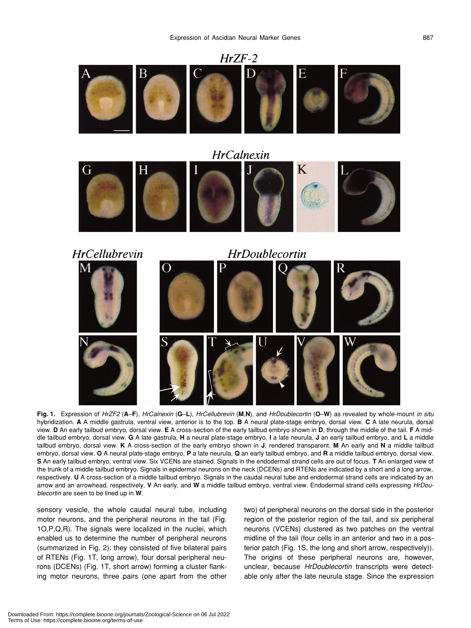

Fig. 1. Expression of HrZF2 (A-F), HrCalnexin (G-L), HrCellubrevin (M,N), and HrDoublecortin (O-W) as revealed by whole-mount in situ hybridization. **A** A middle gastrula, ventral view, anterior is to the top. **B** A neural plate-stage embryo, dorsal view. **C** A late neurula, dorsal view. **D** An early tailbud embryo, dorsal view. **E** A cross-section of the early tailbud embryo shown in **D**, through the middle of the tail. **F** A middle tailbud embryo, dorsal view. **G** A late gastrula, **H** a neural plate-stage embryo, **I** a late neurula, **J** an early tailbud embryo, and **L** a middle tailbud embryo, dorsal view. **K** A cross-section of the early embryo shown in **J**, rendered transparent. **M** An early and **N** a middle tailbud embryo, dorsal view. **O** A neural plate-stage embryo, **P** a late neurula, **Q** an early tailbud embryo, and **R** a middle tailbud embryo, dorsal view. **S** An early tailbud embryo, ventral view. Six VCENs are stained. Signals in the endodermal strand cells are out of focus. **T** An enlarged view of the trunk of a middle tailbud embryo. Signals in epidermal neurons on the neck (DCENs) and RTENs are indicated by a short and a long arrow, respectively. **U** A cross-section of a middle tailbud embryo. Signals in the caudal neural tube and endodermal strand cells are indicated by an arrow and an arrowhead, respectively. **V** An early, and **W** a middle tailbud embryo, ventral view. Endodermal strand cells expressing *HrDoublecortin* are seen to be lined up in **W**.

sensory vesicle, the whole caudal neural tube, including motor neurons, and the peripheral neurons in the tail (Fig. 1O,P,Q,R). The signals were localized in the nuclei, which enabled us to determine the number of peripheral neurons (summarized in Fig. 2): they consisted of five bilateral pairs of RTENs (Fig. 1T, long arrow), four dorsal peripheral neurons (DCENs) (Fig. 1T, short arrow) forming a cluster flanking motor neurons, three pairs (one apart from the other two) of peripheral neurons on the dorsal side in the posterior region of the posterior region of the tail, and six peripheral neurons (VCENs) clustered as two patches on the ventral midline of the tail (four cells in an anterior and two in a posterior patch (Fig. 1S, the long and short arrow, respectively)). The origins of these peripheral neurons are, however, unclear, because *HrDoublecortin* transcripts were detectable only after the late neurula stage. Since the expression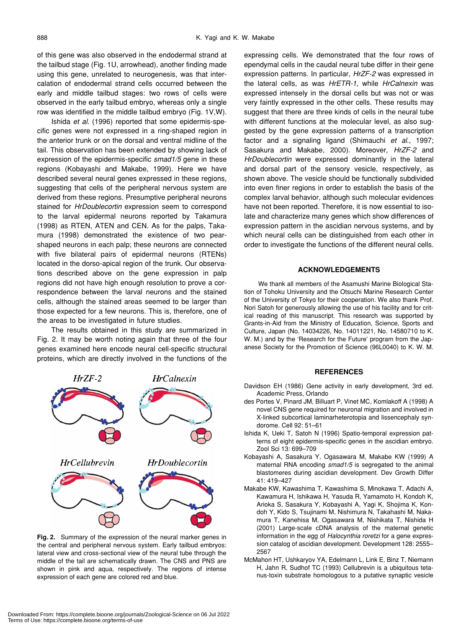of this gene was also observed in the endodermal strand at the tailbud stage (Fig. 1U, arrowhead), another finding made using this gene, unrelated to neurogenesis, was that intercalation of endodermal strand cells occurred between the early and middle tailbud stages: two rows of cells were observed in the early tailbud embryo, whereas only a single row was identified in the middle tailbud embryo (Fig. 1V,W).

Ishida *et al*. (1996) reported that some epidermis-specific genes were not expressed in a ring-shaped region in the anterior trunk or on the dorsal and ventral midline of the tail. This observation has been extended by showing lack of expression of the epidermis-specific *smad1/5* gene in these regions (Kobayashi and Makabe, 1999). Here we have described several neural genes expressed in these regions, suggesting that cells of the peripheral nervous system are derived from these regions. Presumptive peripheral neurons stained for *HrDoublecortin* expression seem to correspond to the larval epidermal neurons reported by Takamura (1998) as RTEN, ATEN and CEN. As for the palps, Takamura (1998) demonstrated the existence of two pearshaped neurons in each palp; these neurons are connected with five bilateral pairs of epidermal neurons (RTENs) located in the dorso-apical region of the trunk. Our observations described above on the gene expression in palp regions did not have high enough resolution to prove a correspondence between the larval neurons and the stained cells, although the stained areas seemed to be larger than those expected for a few neurons. This is, therefore, one of the areas to be investigated in future studies.

The results obtained in this study are summarized in Fig. 2. It may be worth noting again that three of the four genes examined here encode neural cell-specific structural proteins, which are directly involved in the functions of the



**Fig. 2.** Summary of the expression of the neural marker genes in the central and peripheral nervous system. Early tailbud embryos: lateral view and cross-sectional view of the neural tube through the middle of the tail are schematically drawn. The CNS and PNS are shown in pink and aqua, respectively. The regions of intense expression of each gene are colored red and blue.

expressing cells. We demonstrated that the four rows of ependymal cells in the caudal neural tube differ in their gene expression patterns. In particular, *HrZF-2* was expressed in the lateral cells, as was *HrETR-1*, while *HrCalnexin* was expressed intensely in the dorsal cells but was not or was very faintly expressed in the other cells. These results may suggest that there are three kinds of cells in the neural tube with different functions at the molecular level, as also suggested by the gene expression patterns of a transcription factor and a signaling ligand (Shimauchi *et al*., 1997; Sasakura and Makabe, 2000). Moreover, *HrZF-2* and *HrDoublecortin* were expressed dominantly in the lateral and dorsal part of the sensory vesicle, respectively, as shown above. The vesicle should be functionally subdivided into even finer regions in order to establish the basis of the complex larval behavior, although such molecular evidences have not been reported. Therefore, it is now essential to isolate and characterize many genes which show differences of expression pattern in the ascidian nervous systems, and by which neural cells can be distinguished from each other in order to investigate the functions of the different neural cells.

# **ACKNOWLEDGEMENTS**

We thank all members of the Asamushi Marine Biological Station of Tohoku University and the Otsuchi Marine Research Center of the University of Tokyo for their cooperation. We also thank Prof. Nori Satoh for generously allowing the use of his facility and for critical reading of this manuscript. This research was supported by Grants-in-Aid from the Ministry of Education, Science, Sports and Culture, Japan (No. 14034226, No. 14011221, No. 14580710 to K. W. M.) and by the 'Research for the Future' program from the Japanese Society for the Promotion of Science (96L0040) to K. W. M.

### **REFERENCES**

- Davidson EH (1986) Gene activity in early development, 3rd ed. Academic Press, Orlando
- des Portes V, Pinard JM, Billuart P, Vinet MC, Komlakoff A (1998) A novel CNS gene required for neuronal migration and involved in X-linked subcortical laminarheterotopia and lissencephaly syndorome. Cell 92: 51–61
- Ishida K, Ueki T, Satoh N (1996) Spatio-temporal expression patterns of eight epidermis-specific genes in the ascidian embryo. Zool Sci 13: 699–709
- Kobayashi A, Sasakura Y, Ogasawara M, Makabe KW (1999) A maternal RNA encoding *smad1/5* is segregated to the animal blastomeres during ascidian development. Dev Growth Differ 41: 419–427
- Makabe KW, Kawashima T, Kawashima S, Minokawa T, Adachi A, Kawamura H, Ishikawa H, Yasuda R, Yamamoto H, Kondoh K, Arioka S, Sasakura Y, Kobayashi A, Yagi K, Shojima K, Kondoh Y, Kido S, Tsujinami M, Nishimura N, Takahashi M, Nakamura T, Kanehisa M, Ogasawara M, Nishikata T, Nishida H (2001) Large-scale cDNA analysis of the maternal genetic information in the egg of *Halocynthia roretzi* for a gene expression catalog of ascidian development. Development 128: 2555– 2567
- McMahon HT, Ushkaryov YA, Edelmann L, Link E, Binz T, Niemann H, Jahn R, Sudhof TC (1993) Cellubrevin is a ubiquitous tetanus-toxin substrate homologous to a putative synaptic vesicle